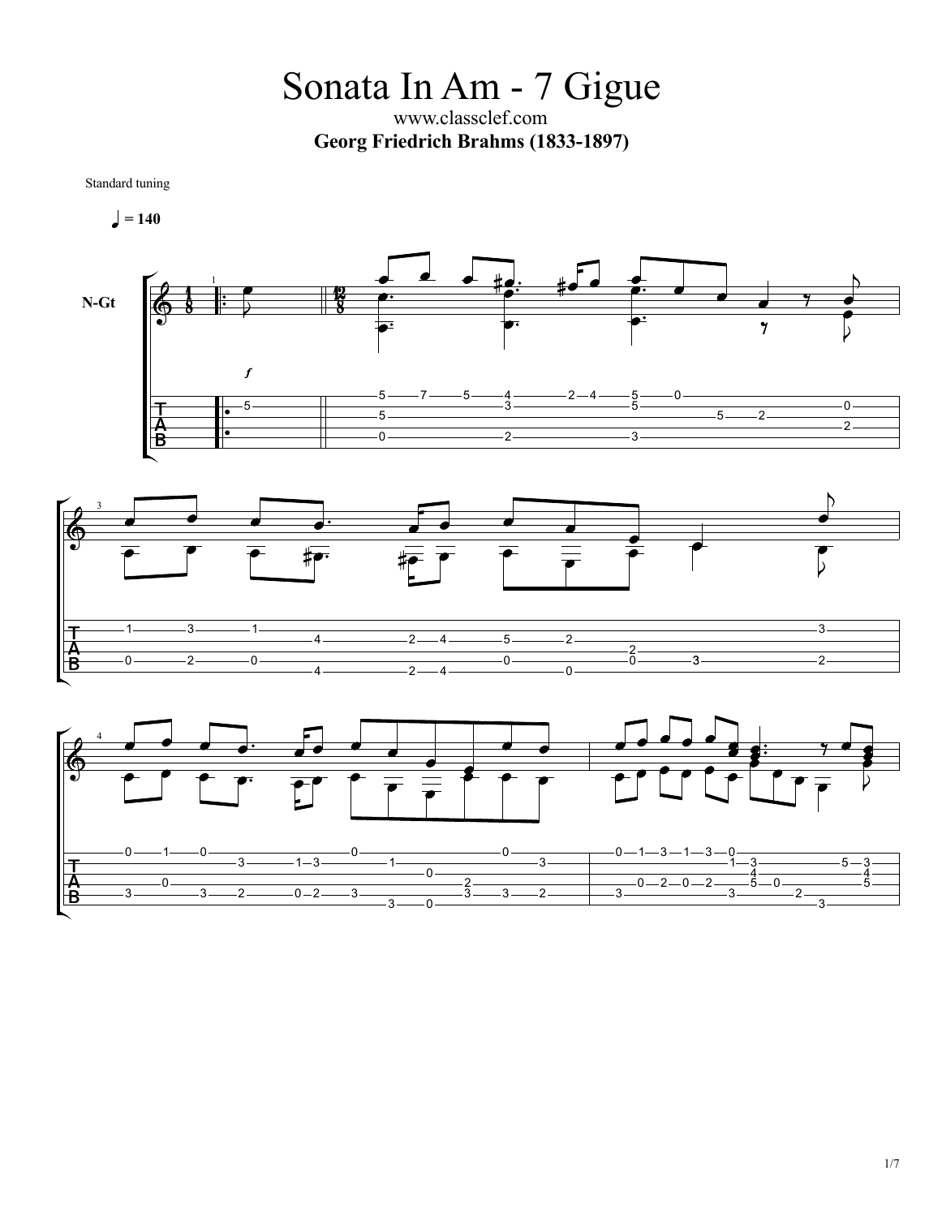Sonata In Am - 7 Gigue www.classclef.com **Georg Friedrich Brahms (1833-1897)**

Standard tuning

 $= 140$ 





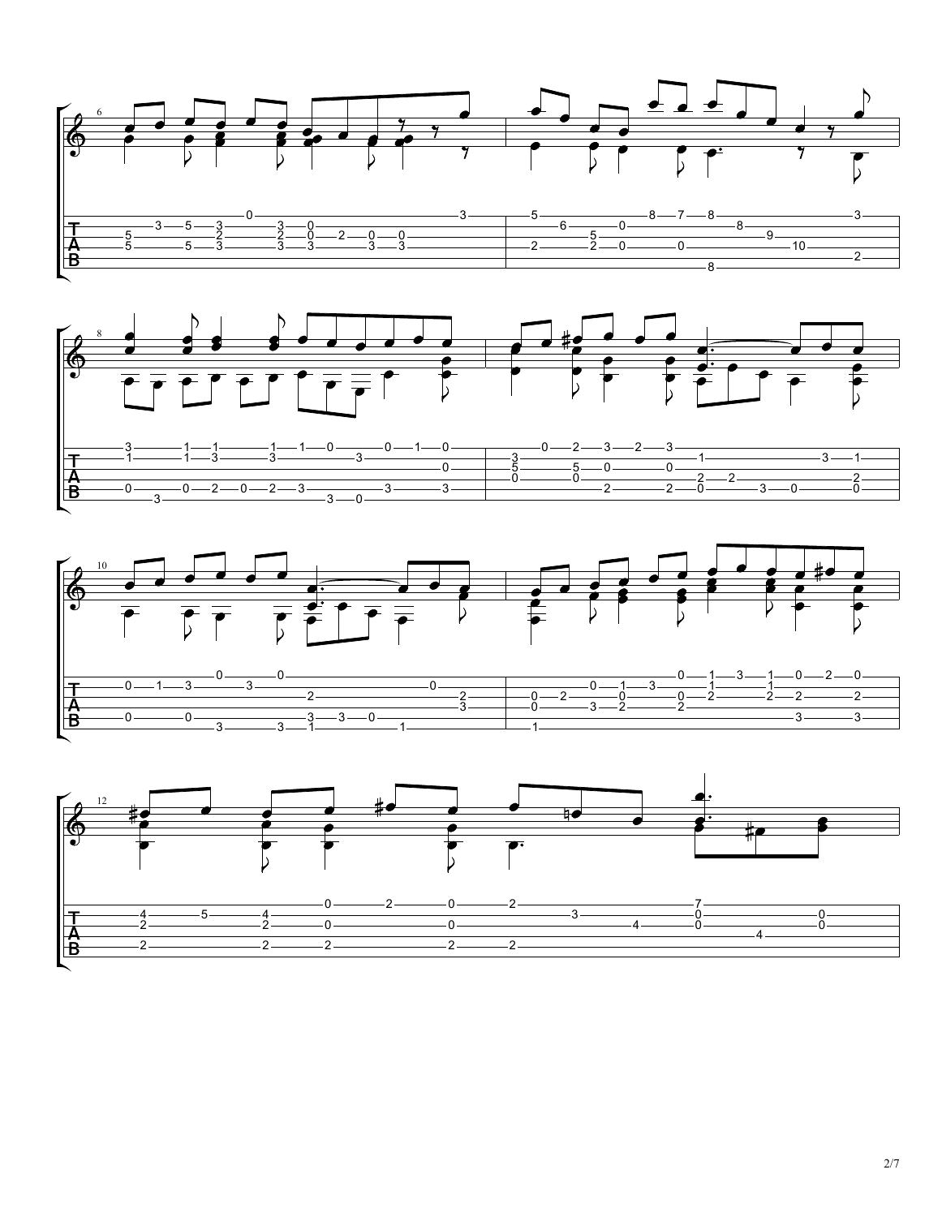





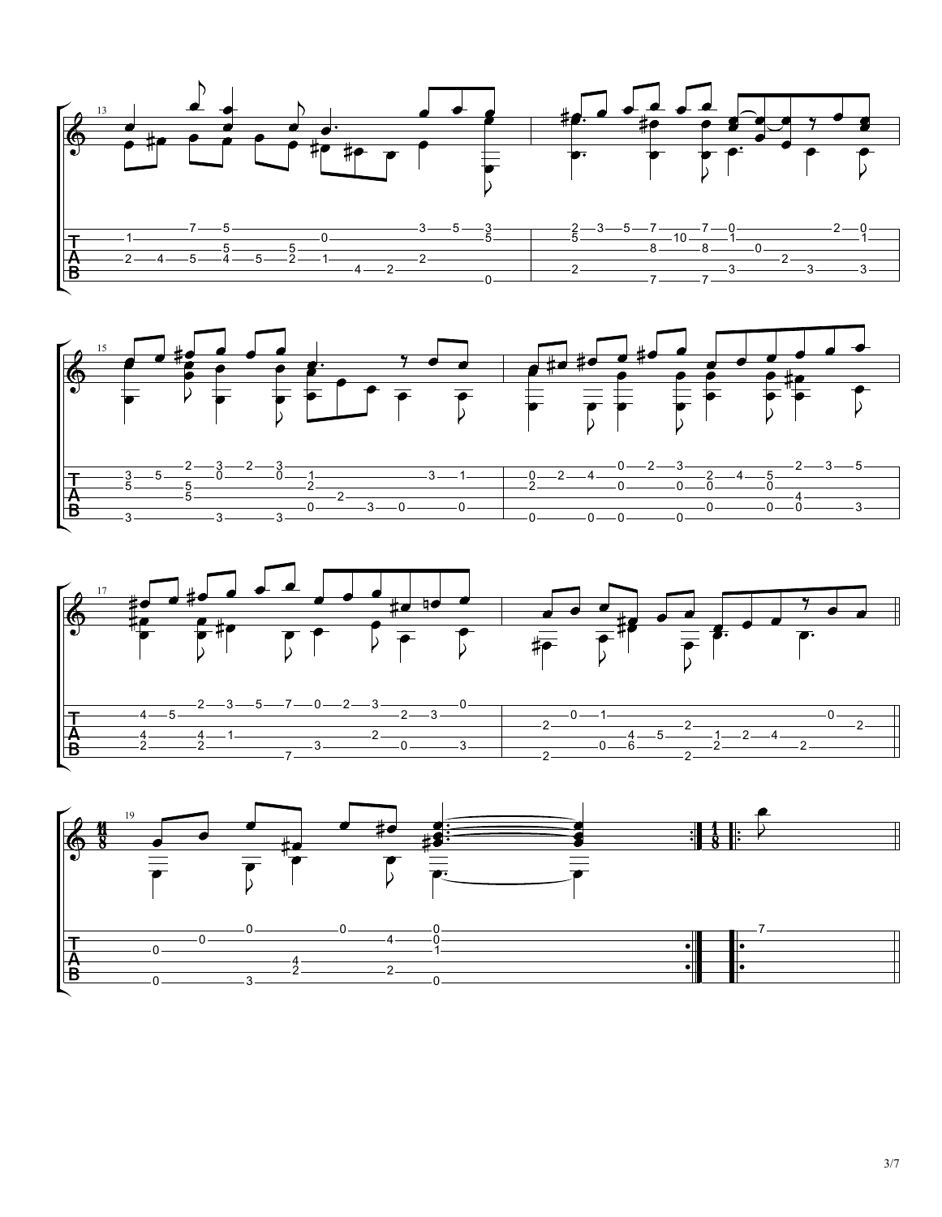





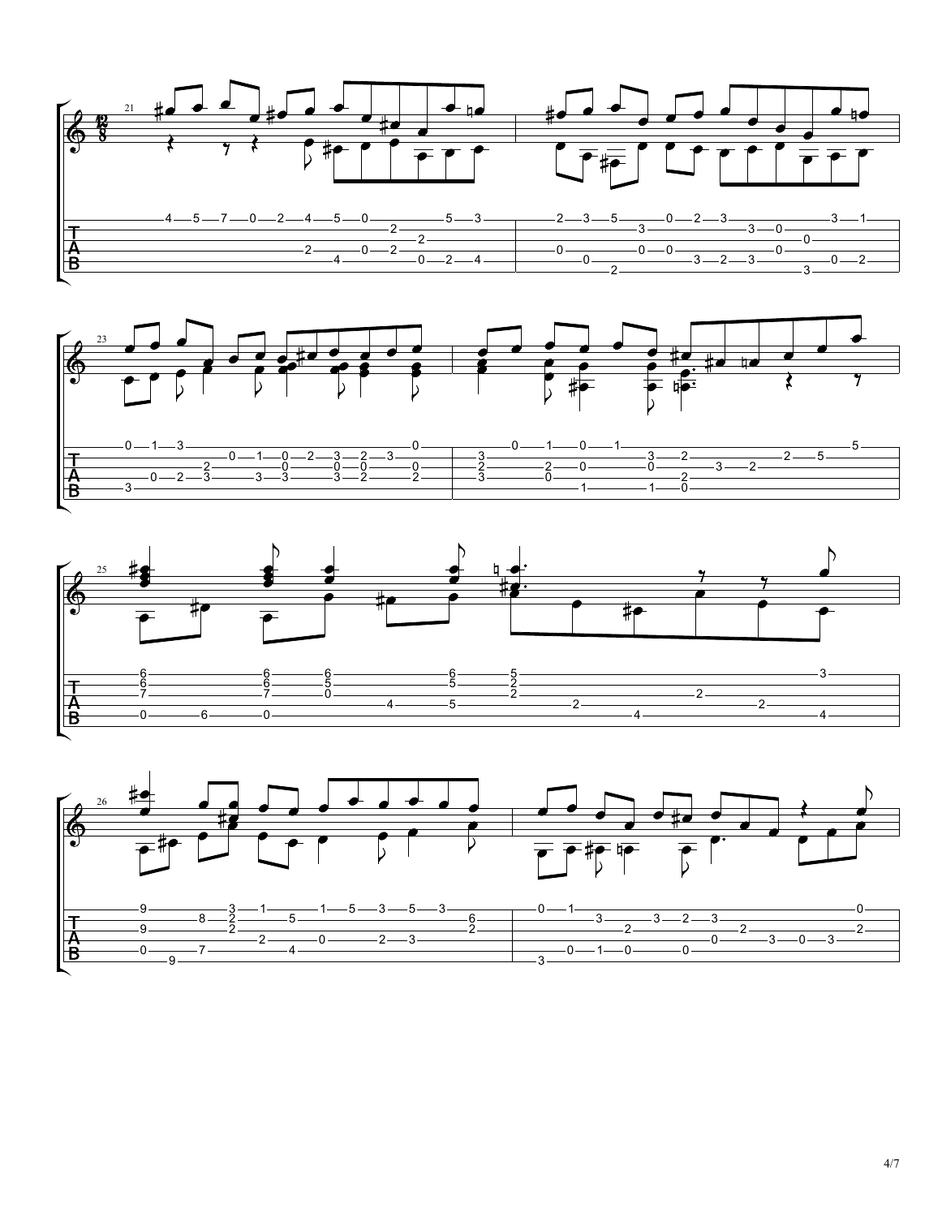





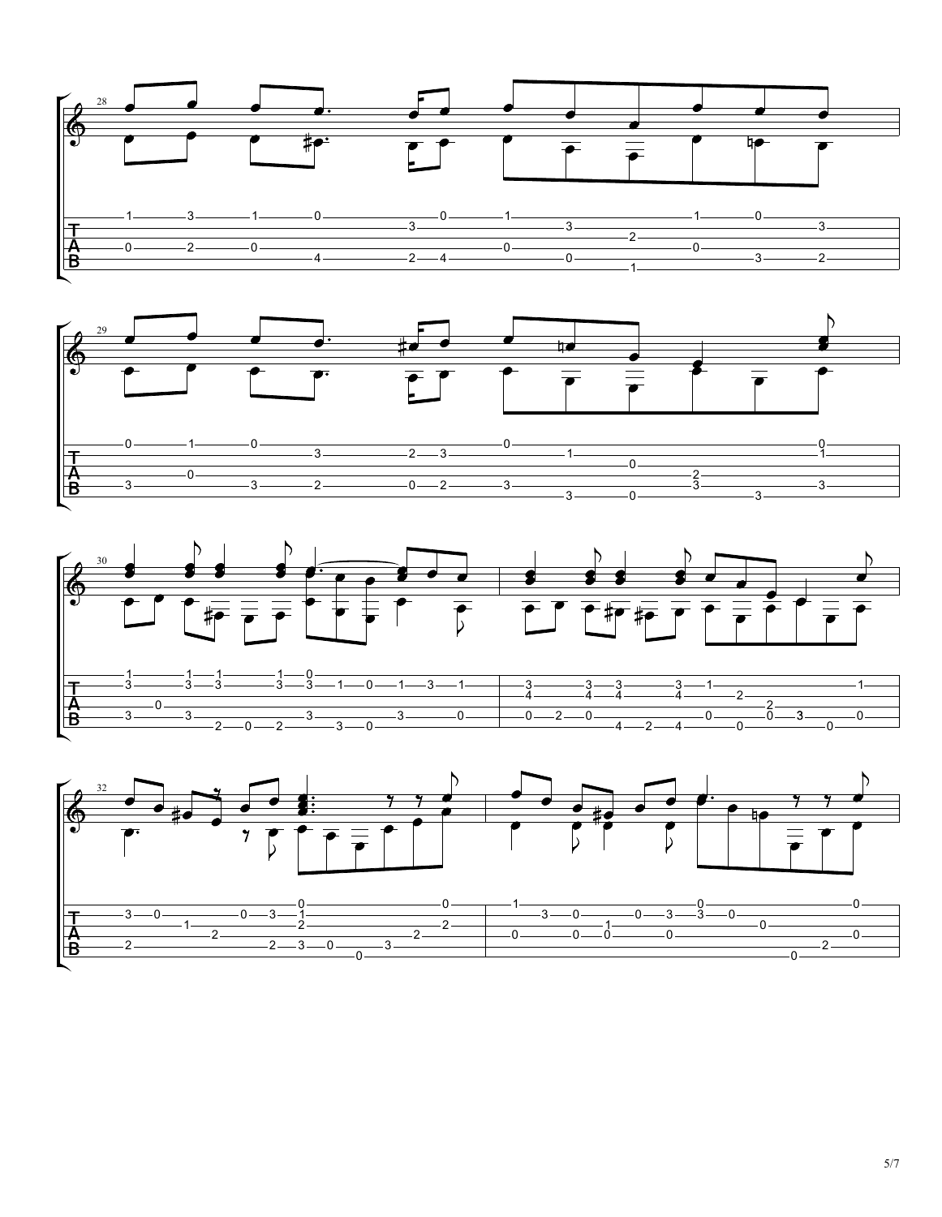





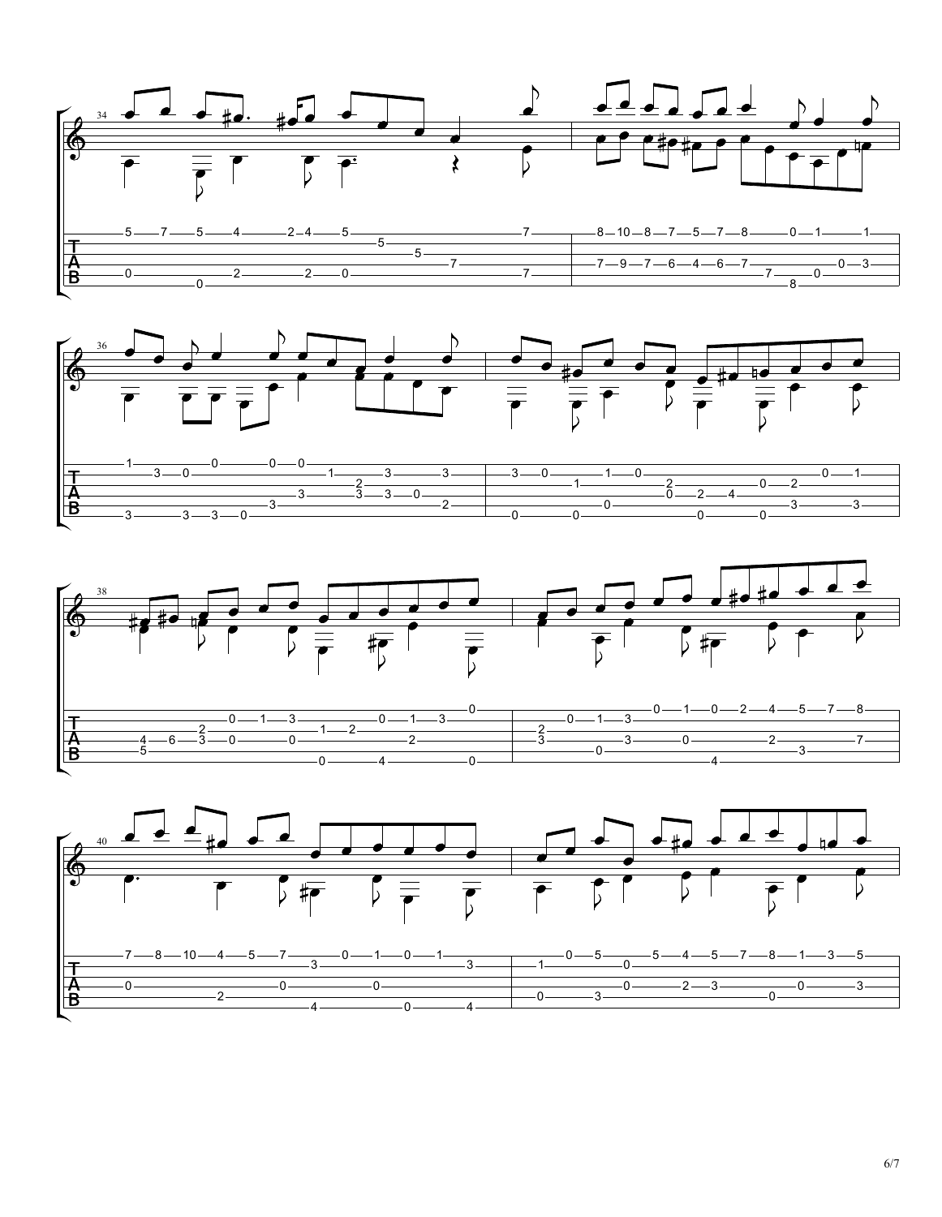